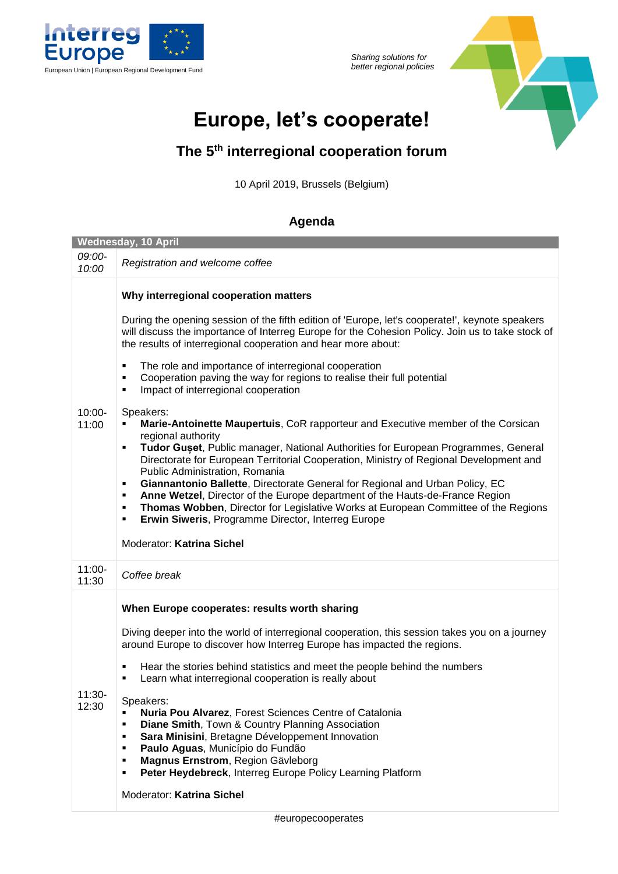

*Sharing solutions for* 



## **Europe, let's cooperate!**

## **The 5th interregional cooperation forum**

10 April 2019, Brussels (Belgium)

## **Agenda**

| <b>Wednesday, 10 April</b> |                                                                                                                                                                                                                                                                                                                                                                                                                                                                                                                                                                                                                                                                                                                                                                                                                                                                                                                                                                                                                                                                                                                                                                                                                  |  |  |
|----------------------------|------------------------------------------------------------------------------------------------------------------------------------------------------------------------------------------------------------------------------------------------------------------------------------------------------------------------------------------------------------------------------------------------------------------------------------------------------------------------------------------------------------------------------------------------------------------------------------------------------------------------------------------------------------------------------------------------------------------------------------------------------------------------------------------------------------------------------------------------------------------------------------------------------------------------------------------------------------------------------------------------------------------------------------------------------------------------------------------------------------------------------------------------------------------------------------------------------------------|--|--|
| 09:00-<br>10:00            | Registration and welcome coffee                                                                                                                                                                                                                                                                                                                                                                                                                                                                                                                                                                                                                                                                                                                                                                                                                                                                                                                                                                                                                                                                                                                                                                                  |  |  |
| $10:00 -$<br>11:00         | Why interregional cooperation matters<br>During the opening session of the fifth edition of 'Europe, let's cooperate!', keynote speakers<br>will discuss the importance of Interreg Europe for the Cohesion Policy. Join us to take stock of<br>the results of interregional cooperation and hear more about:<br>The role and importance of interregional cooperation<br>٠<br>Cooperation paving the way for regions to realise their full potential<br>٠<br>Impact of interregional cooperation<br>٠<br>Speakers:<br>Marie-Antoinette Maupertuis, CoR rapporteur and Executive member of the Corsican<br>regional authority<br>Tudor Guset, Public manager, National Authorities for European Programmes, General<br>٠<br>Directorate for European Territorial Cooperation, Ministry of Regional Development and<br>Public Administration, Romania<br>Giannantonio Ballette, Directorate General for Regional and Urban Policy, EC<br>٠<br>Anne Wetzel, Director of the Europe department of the Hauts-de-France Region<br>٠<br>Thomas Wobben, Director for Legislative Works at European Committee of the Regions<br>٠<br>Erwin Siweris, Programme Director, Interreg Europe<br>٠<br>Moderator: Katrina Sichel |  |  |
| $11:00 -$<br>11:30         | Coffee break                                                                                                                                                                                                                                                                                                                                                                                                                                                                                                                                                                                                                                                                                                                                                                                                                                                                                                                                                                                                                                                                                                                                                                                                     |  |  |
| $11:30-$<br>12:30          | When Europe cooperates: results worth sharing<br>Diving deeper into the world of interregional cooperation, this session takes you on a journey<br>around Europe to discover how Interreg Europe has impacted the regions.<br>Hear the stories behind statistics and meet the people behind the numbers<br>٠<br>Learn what interregional cooperation is really about<br>٠<br>Speakers:<br>Nuria Pou Alvarez, Forest Sciences Centre of Catalonia<br>٠<br><b>Diane Smith, Town &amp; Country Planning Association</b><br>٠<br>Sara Minisini, Bretagne Développement Innovation<br>٠<br>Paulo Aguas, Município do Fundão<br>٠<br>Magnus Ernstrom, Region Gävleborg<br>٠<br>Peter Heydebreck, Interreg Europe Policy Learning Platform<br>٠<br>Moderator: Katrina Sichel                                                                                                                                                                                                                                                                                                                                                                                                                                            |  |  |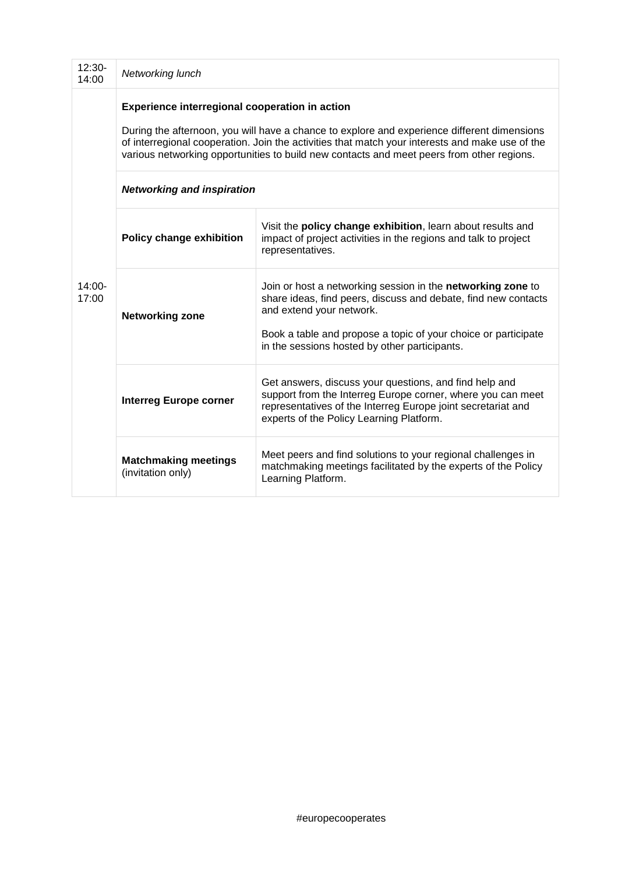| $12:30-$<br>14:00  | Networking lunch                                                                                                                                                                                                                                                                                                                              |                                                                                                                                                                                                                                                                              |  |  |
|--------------------|-----------------------------------------------------------------------------------------------------------------------------------------------------------------------------------------------------------------------------------------------------------------------------------------------------------------------------------------------|------------------------------------------------------------------------------------------------------------------------------------------------------------------------------------------------------------------------------------------------------------------------------|--|--|
|                    | Experience interregional cooperation in action<br>During the afternoon, you will have a chance to explore and experience different dimensions<br>of interregional cooperation. Join the activities that match your interests and make use of the<br>various networking opportunities to build new contacts and meet peers from other regions. |                                                                                                                                                                                                                                                                              |  |  |
|                    | <b>Networking and inspiration</b>                                                                                                                                                                                                                                                                                                             |                                                                                                                                                                                                                                                                              |  |  |
| $14:00 -$<br>17:00 | <b>Policy change exhibition</b>                                                                                                                                                                                                                                                                                                               | Visit the policy change exhibition, learn about results and<br>impact of project activities in the regions and talk to project<br>representatives.                                                                                                                           |  |  |
|                    | <b>Networking zone</b>                                                                                                                                                                                                                                                                                                                        | Join or host a networking session in the networking zone to<br>share ideas, find peers, discuss and debate, find new contacts<br>and extend your network.<br>Book a table and propose a topic of your choice or participate<br>in the sessions hosted by other participants. |  |  |
|                    | <b>Interreg Europe corner</b>                                                                                                                                                                                                                                                                                                                 | Get answers, discuss your questions, and find help and<br>support from the Interreg Europe corner, where you can meet<br>representatives of the Interreg Europe joint secretariat and<br>experts of the Policy Learning Platform.                                            |  |  |
|                    | <b>Matchmaking meetings</b><br>(invitation only)                                                                                                                                                                                                                                                                                              | Meet peers and find solutions to your regional challenges in<br>matchmaking meetings facilitated by the experts of the Policy<br>Learning Platform.                                                                                                                          |  |  |